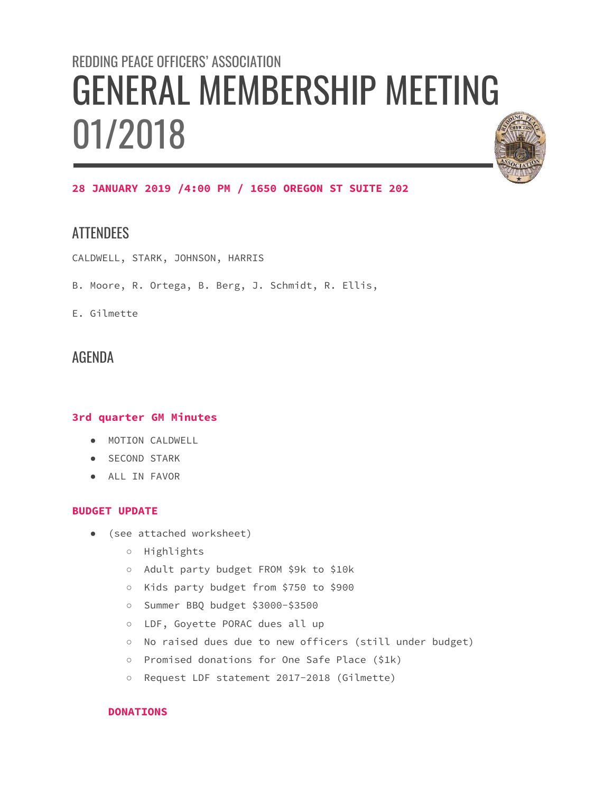# REDDING PEACE OFFICERS' ASSOCIATION GENERAL MEMBERSHIP MEETING 01/2018



**28 JANUARY 2019 /4:00 PM / 1650 OREGON ST SUITE 202**

## **ATTENDEES**

- CALDWELL, STARK, JOHNSON, HARRIS
- B. Moore, R. Ortega, B. Berg, J. Schmidt, R. Ellis,

E. Gilmette

### AGENDA

#### **3rd quarter GM Minutes**

- MOTION CALDWELL
- SECOND STARK
- ALL IN FAVOR

#### **BUDGET UPDATE**

- (see attached worksheet)
	- Highlights
	- Adult party budget FROM \$9k to \$10k
	- Kids party budget from \$750 to \$900
	- Summer BBQ budget \$3000-\$3500
	- LDF, Goyette PORAC dues all up
	- No raised dues due to new officers (still under budget)
	- Promised donations for One Safe Place (\$1k)
	- Request LDF statement 2017-2018 (Gilmette)

#### **DONATIONS**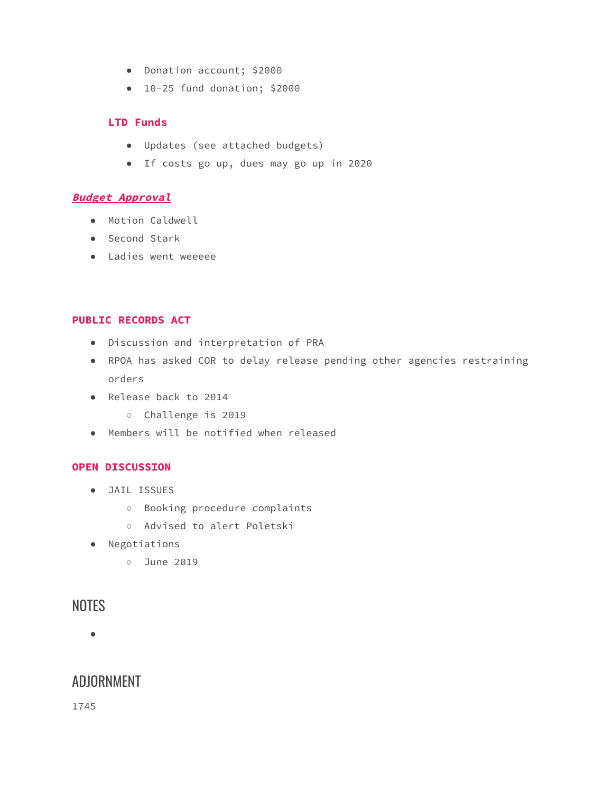- Donation account; \$2000
- 10-25 fund donation; \$2000

#### **LTD Funds**

- Updates (see attached budgets)
- If costs go up, dues may go up in 2020

#### **Budget Approval**

- Motion Caldwell
- Second Stark
- Ladies went weeeee

#### **PUBLIC RECORDS ACT**

- Discussion and interpretation of PRA
- RPOA has asked COR to delay release pending other agencies restraining orders
- Release back to 2014
	- Challenge is 2019
- Members will be notified when released

#### **OPEN DISCUSSION**

- JAIL ISSUES
	- Booking procedure complaints
	- Advised to alert Poletski
- Negotiations
	- June 2019

# **NOTES**

●

## ADJORNMENT

1745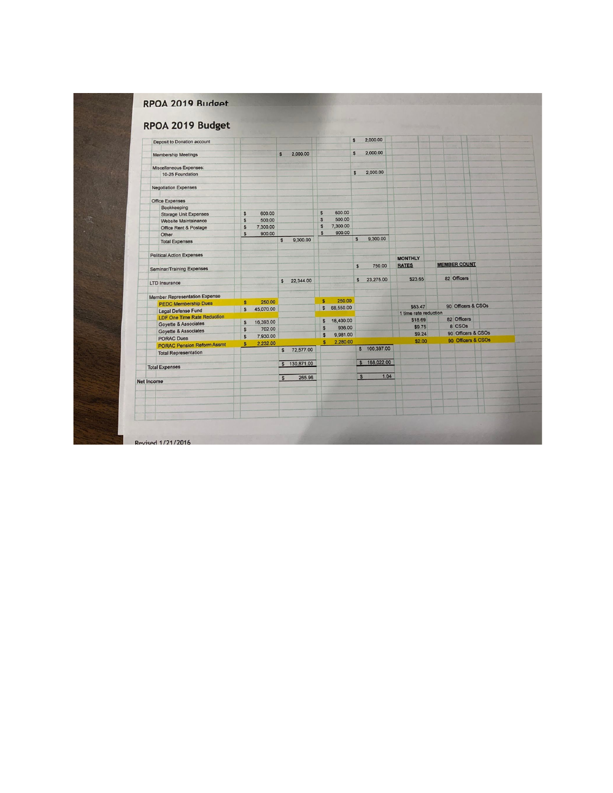| Deposit to Donation account          |                  |           |              |              |                  |           | $\mathsf{s}$  | 2,000.00     |                       |                     |                    |
|--------------------------------------|------------------|-----------|--------------|--------------|------------------|-----------|---------------|--------------|-----------------------|---------------------|--------------------|
|                                      |                  |           |              |              |                  |           |               |              |                       |                     |                    |
| <b>Membership Meetings</b>           |                  |           |              | \$2,000.00   |                  |           | $\mathsf{s}$  | 2,000.00     |                       |                     |                    |
| <b>Miscellaneous Expenses:</b>       |                  |           |              |              |                  |           |               |              |                       |                     |                    |
| 10-25 Foundation                     |                  |           |              |              |                  |           | $\mathsf{s}$  | 2,000.00     |                       |                     |                    |
|                                      |                  |           |              |              |                  |           |               |              |                       |                     |                    |
| <b>Negotiation Expenses</b>          |                  |           |              |              |                  |           |               |              |                       |                     |                    |
|                                      |                  |           |              |              |                  |           |               |              |                       |                     |                    |
| <b>Office Expenses</b>               |                  |           |              |              |                  |           |               |              |                       |                     |                    |
| Bookkeeping                          |                  |           |              |              |                  |           |               |              |                       |                     |                    |
| <b>Storage Unit Expenses</b>         | $$\mathsf{S}$$   | 600.00    |              |              | $\mathsf{s}$     | 600.00    |               |              |                       |                     |                    |
| <b>Website Maintainance</b>          | $\boldsymbol{s}$ | 500.00    |              |              | \$               | 500.00    |               |              |                       |                     |                    |
| Office Rent & Postage                | $\mathsf{s}$     | 7,300.00  |              |              | \$               | 7,300.00  |               |              |                       |                     |                    |
| Other                                | $\mathsf{s}$     | 900.00    |              |              | s                | 900.00    |               |              |                       |                     |                    |
| <b>Total Expenses</b>                |                  |           | $\mathsf{s}$ | 9,300.00     |                  |           | $\frac{1}{2}$ | 9,300.00     |                       |                     |                    |
|                                      |                  |           |              |              |                  |           |               |              |                       |                     |                    |
| <b>Political Action Expenses</b>     |                  |           |              |              |                  |           |               |              | <b>MONTHLY</b>        |                     |                    |
|                                      |                  |           |              |              |                  |           |               |              |                       | <b>MEMBER COUNT</b> |                    |
| Seminar/Training Expenses            |                  |           |              |              |                  |           | $\mathsf{s}$  | 750.00       | <b>RATES</b>          |                     |                    |
|                                      |                  |           |              |              |                  |           |               |              |                       | 82 Officers         |                    |
| <b>LTD Insurance</b>                 |                  |           |              | \$22,344.00  |                  |           | $\mathsf{s}$  | 23,275.00    | \$23.65               |                     |                    |
|                                      |                  |           |              |              |                  |           |               |              |                       |                     |                    |
| <b>Member Representation Expense</b> |                  |           |              |              |                  |           |               |              |                       |                     |                    |
| <b>PEDC Membership Dues</b>          | $\mathbf{s}$     | 250.00    |              |              | $\mathbf{s}$     | 250.00    |               |              | \$63.47               |                     | 90 Officers & CSOs |
| <b>Legal Defense Fund</b>            | $\boldsymbol{s}$ | 45,070.00 |              |              | $\mathfrak{s}$   | 68,550.00 |               |              | 1 time rate reduction |                     |                    |
| LDF One Time Rate Reduction          |                  |           |              |              | $\mathsf{s}$     | 18,400.00 |               |              | \$18.69               | 82 Officers         |                    |
| <b>Goyette &amp; Associates</b>      | \$               | 16,393.00 |              |              |                  | 936.00    |               |              | \$9.75                | 8 CSOs              |                    |
| Goyette & Associates                 | \$               | 702.00    |              |              | $\mathsf{s}$     |           |               |              | \$9.24                |                     | 90 Officers & CSOs |
| <b>PORAC Dues</b>                    | $\mathsf{s}$     | 7,930.00  |              |              | $\boldsymbol{s}$ | 9,981.00  |               |              | \$2.00                |                     | 90 Officers & CSOs |
| <b>PORAC Pension Reform Assmt</b>    | $\mathbf{s}$     | 2.232.00  |              |              | $\mathbf{s}$     | 2,280.00  |               | \$100,397.00 |                       |                     |                    |
| <b>Total Representation</b>          |                  |           |              | \$72,577.00  |                  |           |               |              |                       |                     |                    |
|                                      |                  |           |              |              |                  |           |               | \$168,022.00 |                       |                     |                    |
| <b>Total Expenses</b>                |                  |           |              | \$130,871.00 |                  |           |               |              |                       |                     |                    |
|                                      |                  |           |              |              |                  |           | $\mathbf{s}$  | 1.04         |                       |                     |                    |
| <b>Net Income</b>                    |                  |           | $\mathsf{s}$ | 265.96       |                  |           |               |              |                       |                     |                    |
|                                      |                  |           |              |              |                  |           |               |              |                       |                     |                    |
|                                      |                  |           |              |              |                  |           |               |              |                       |                     |                    |
|                                      |                  |           |              |              |                  |           |               |              |                       |                     |                    |
|                                      |                  |           |              |              |                  |           |               |              |                       |                     |                    |